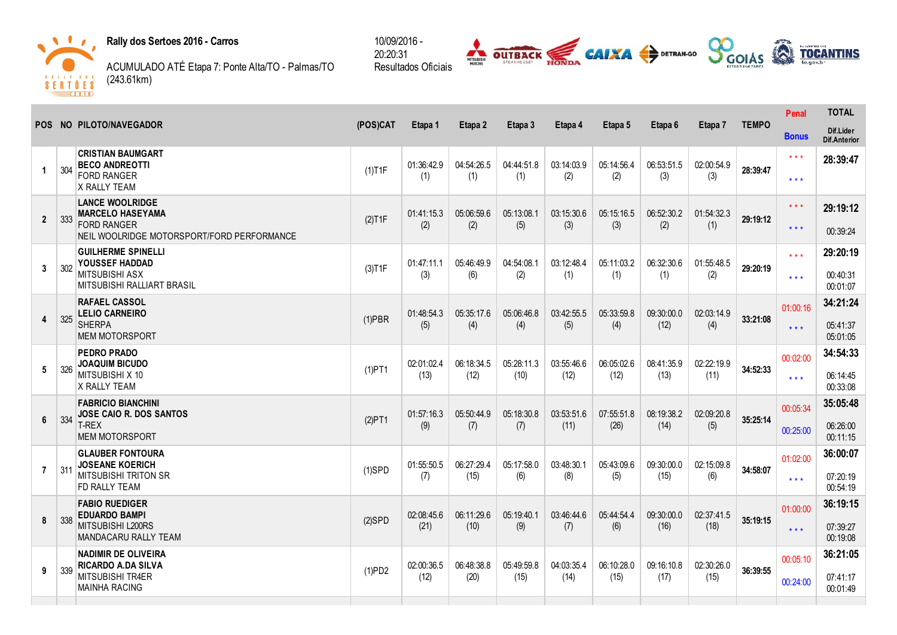

the contract of the con-

Rally dos Sertoes 2016 - Carros

ACUMULADO ATÉ Etapa 7: Ponte Alta/TO Palmas/TO (243.61km)



|                |     | POS NO PILOTO/NAVEGADOR                                                                                               | (POS)CAT  | Etapa 1            |                    |                    | Etapa 4            | Etapa 5            | Etapa 6            |                    |              | Penal                               | <b>TOTAL</b>                     |
|----------------|-----|-----------------------------------------------------------------------------------------------------------------------|-----------|--------------------|--------------------|--------------------|--------------------|--------------------|--------------------|--------------------|--------------|-------------------------------------|----------------------------------|
|                |     |                                                                                                                       |           |                    | Etapa 2            | Etapa 3            |                    |                    |                    | Etapa 7            | <b>TEMPO</b> | <b>Bonus</b>                        | Dif.Lider<br><b>Dif.Anterior</b> |
| $\mathbf 1$    | 304 | <b>CRISTIAN BAUMGART</b><br><b>BECO ANDREOTTI</b><br><b>FORD RANGER</b><br>X RALLY TEAM                               | $(1)$ T1F | 01:36:42.9<br>(1)  | 04:54:26.5<br>(1)  | 04:44:51.8<br>(1)  | 03:14:03.9<br>(2)  | 05:14:56.4<br>(2)  | 06:53:51.5<br>(3)  | 02:00:54.9<br>(3)  | 28:39:47     | $\star\star\star$<br>$* * *$        | 28:39:47                         |
| $\mathbf{2}$   | 333 | <b>LANCE WOOLRIDGE</b><br><b>MARCELO HASEYAMA</b><br><b>FORD RANGER</b><br>NEIL WOOLRIDGE MOTORSPORT/FORD PERFORMANCE | (2)T1F    | 01:41:15.3<br>(2)  | 05:06:59.6<br>(2)  | 05:13:08.1<br>(5)  | 03:15:30.6<br>(3)  | 05:15:16.5<br>(3)  | 06:52:30.2<br>(2)  | 01:54:32.3<br>(1)  | 29:19:12     | $***$<br>$* * *$                    | 29:19:12<br>00:39:24             |
| 3              | 302 | <b>GUILHERME SPINELLI</b><br>YOUSSEF HADDAD<br><b>MITSUBISHI ASX</b><br><b>MITSUBISHI RALLIART BRASIL</b>             | (3)T1F    | 01:47:11.1<br>(3)  | 05:46:49.9<br>(6)  | 04:54:08.1<br>(2)  | 03:12:48.4<br>(1)  | 05:11:03.2<br>(1)  | 06:32:30.6<br>(1)  | 01:55:48.5<br>(2)  | 29:20:19     | $\star \star \star$<br>$***$        | 29:20:19<br>00:40:31<br>00:01:07 |
| 4              | 325 | <b>RAFAEL CASSOL</b><br><b>LELIO CARNEIRO</b><br><b>SHERPA</b><br><b>MEM MOTORSPORT</b>                               | $(1)$ PBR | 01:48:54.3<br>(5)  | 05:35:17.6<br>(4)  | 05:06:46.8<br>(4)  | 03:42:55.5<br>(5)  | 05:33:59.8<br>(4)  | 09:30:00.0<br>(12) | 02:03:14.9<br>(4)  | 33:21:08     | 01:00:16<br>$\star \star \star$     | 34:21:24<br>05:41:37<br>05:01:05 |
| 5              | 326 | <b>PEDRO PRADO</b><br><b>JOAQUIM BICUDO</b><br>MITSUBISHI X 10<br>X RALLY TEAM                                        | (1)PT1    | 02:01:02.4<br>(13) | 06:18:34.5<br>(12) | 05:28:11.3<br>(10) | 03:55:46.6<br>(12) | 06:05:02.6<br>(12) | 08:41:35.9<br>(13) | 02:22:19.9<br>(11) | 34:52:33     | 00:02:00<br>$\star$ $\star$ $\star$ | 34:54:33<br>06:14:45<br>00:33:08 |
| 6              | 334 | <b>FABRICIO BIANCHINI</b><br><b>JOSE CAIO R. DOS SANTOS</b><br>T-REX<br><b>MEM MOTORSPORT</b>                         | (2)PT1    | 01:57:16.3<br>(9)  | 05:50:44.9<br>(7)  | 05:18:30.8<br>(7)  | 03:53:51.6<br>(11) | 07:55:51.8<br>(26) | 08:19:38.2<br>(14) | 02:09:20.8<br>(5)  | 35:25:14     | 00:05:34<br>00:25:00                | 35:05:48<br>06:26:00<br>00:11:15 |
| $\overline{7}$ | 311 | <b>GLAUBER FONTOURA</b><br><b>JOSEANE KOERICH</b><br><b>MITSUBISHI TRITON SR</b><br>FD RALLY TEAM                     | $(1)$ SPD | 01:55:50.5<br>(7)  | 06:27:29.4<br>(15) | 05:17:58.0<br>(6)  | 03:48:30.1<br>(8)  | 05:43:09.6<br>(5)  | 09:30:00.0<br>(15) | 02:15:09.8<br>(6)  | 34:58:07     | 01:02:00<br>$* * *$                 | 36:00:07<br>07:20:19<br>00:54:19 |
| 8              | 338 | <b>FABIO RUEDIGER</b><br><b>EDUARDO BAMPI</b><br>MITSUBISHI L200RS<br>MANDACARU RALLY TEAM                            | $(2)$ SPD | 02:08:45.6<br>(21) | 06:11:29.6<br>(10) | 05:19:40.1<br>(9)  | 03:46:44.6<br>(7)  | 05:44:54.4<br>(6)  | 09:30:00.0<br>(16) | 02:37:41.5<br>(18) | 35:19:15     | 01:00:00<br>$\star \star \star$     | 36:19:15<br>07:39:27<br>00:19:08 |
| 9              | 339 | <b>NADIMIR DE OLIVEIRA</b><br><b>RICARDO A.DA SILVA</b><br><b>MITSUBISHI TR4ER</b><br><b>MAINHA RACING</b>            | (1)PD2    | 02:00:36.5<br>(12) | 06:48:38.8<br>(20) | 05:49:59.8<br>(15) | 04:03:35.4<br>(14) | 06:10:28.0<br>(15) | 09:16:10.8<br>(17) | 02:30:26.0<br>(15) | 36:39:55     | 00:05:10<br>00:24:00                | 36:21:05<br>07:41:17<br>00:01:49 |

20:20:31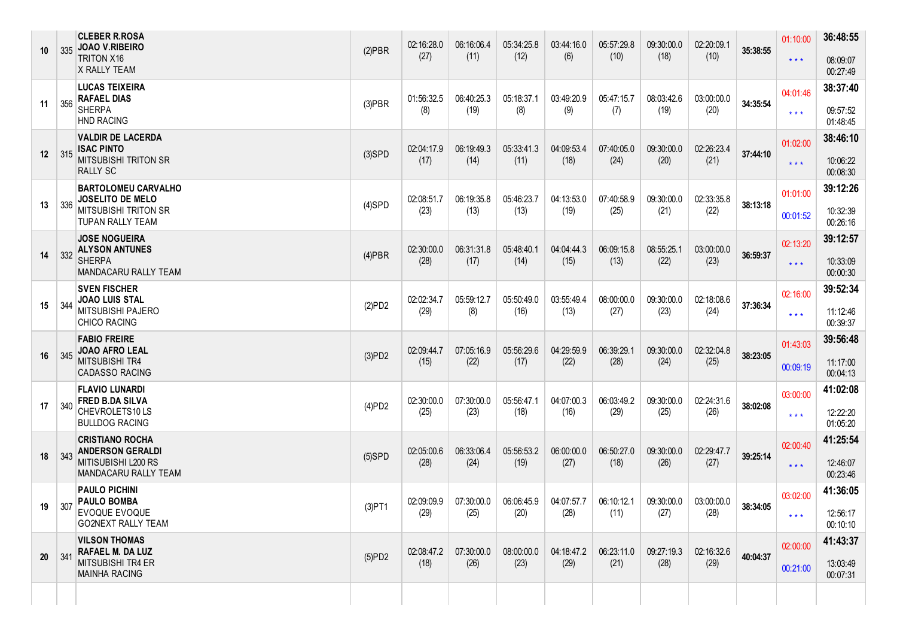| 10              |     | <b>CLEBER R.ROSA</b><br>335 JOAO V.RIBEIRO<br><b>TRITON X16</b><br>X RALLY TEAM                                 | $(2)$ PBR | 02:16:28.0<br>(27) | 06:16:06.4<br>(11) | 05:34:25.8<br>(12) | 03:44:16.0<br>(6)  | 05:57:29.8<br>(10) | 09:30:00.0<br>(18) | 02:20:09.1<br>(10) | 35:38:55 | 01:10:00<br>$\star$ $\star$ $\star$ | 36:48:55<br>08:09:07<br>00:27:49 |
|-----------------|-----|-----------------------------------------------------------------------------------------------------------------|-----------|--------------------|--------------------|--------------------|--------------------|--------------------|--------------------|--------------------|----------|-------------------------------------|----------------------------------|
| 11              | 356 | <b>LUCAS TEIXEIRA</b><br><b>RAFAEL DIAS</b><br><b>SHERPA</b><br><b>HND RACING</b>                               | $(3)$ PBR | 01:56:32.5<br>(8)  | 06:40:25.3<br>(19) | 05:18:37.1<br>(8)  | 03:49:20.9<br>(9)  | 05:47:15.7<br>(7)  | 08:03:42.6<br>(19) | 03:00:00.0<br>(20) | 34:35:54 | 04:01:46<br>$\star \star \star$     | 38:37:40<br>09:57:52<br>01:48:45 |
| 12 <sup>2</sup> | 315 | <b>VALDIR DE LACERDA</b><br><b>ISAC PINTO</b><br><b>MITSUBISHI TRITON SR</b><br>RALLY SC                        | $(3)$ SPD | 02:04:17.9<br>(17) | 06:19:49.3<br>(14) | 05:33:41.3<br>(11) | 04:09:53.4<br>(18) | 07:40:05.0<br>(24) | 09:30:00.0<br>(20) | 02:26:23.4<br>(21) | 37:44:10 | 01:02:00<br>$\star$ $\star$ $\star$ | 38:46:10<br>10:06:22<br>00:08:30 |
| 13              | 336 | <b>BARTOLOMEU CARVALHO</b><br><b>JOSELITO DE MELO</b><br><b>MITSUBISHI TRITON SR</b><br><b>TUPAN RALLY TEAM</b> | $(4)$ SPD | 02:08:51.7<br>(23) | 06:19:35.8<br>(13) | 05:46:23.7<br>(13) | 04:13:53.0<br>(19) | 07:40:58.9<br>(25) | 09:30:00.0<br>(21) | 02:33:35.8<br>(22) | 38:13:18 | 01:01:00<br>00:01:52                | 39:12:26<br>10:32:39<br>00:26:16 |
| 14              | 332 | <b>JOSE NOGUEIRA</b><br><b>ALYSON ANTUNES</b><br><b>SHERPA</b><br>MANDACARU RALLY TEAM                          | $(4)$ PBR | 02:30:00.0<br>(28) | 06:31:31.8<br>(17) | 05:48:40.1<br>(14) | 04:04:44.3<br>(15) | 06:09:15.8<br>(13) | 08:55:25.1<br>(22) | 03:00:00.0<br>(23) | 36:59:37 | 02:13:20<br>$\star$ $\star$ $\star$ | 39:12:57<br>10:33:09<br>00:00:30 |
| 15              | 344 | <b>SVEN FISCHER</b><br><b>JOAO LUIS STAL</b><br>MITSUBISHI PAJERO<br>CHICO RACING                               | (2)PD2    | 02:02:34.7<br>(29) | 05:59:12.7<br>(8)  | 05:50:49.0<br>(16) | 03:55:49.4<br>(13) | 08:00:00.0<br>(27) | 09:30:00.0<br>(23) | 02:18:08.6<br>(24) | 37:36:34 | 02:16:00<br>$\star\star\star$       | 39:52:34<br>11:12:46<br>00:39:37 |
| 16              | 345 | <b>FABIO FREIRE</b><br><b>JOAO AFRO LEAL</b><br>MITSUBISHI TR4<br><b>CADASSO RACING</b>                         | (3)PD2    | 02:09:44.7<br>(15) | 07:05:16.9<br>(22) | 05:56:29.6<br>(17) | 04:29:59.9<br>(22) | 06:39:29.1<br>(28) | 09:30:00.0<br>(24) | 02:32:04.8<br>(25) | 38:23:05 | 01:43:03<br>00:09:19                | 39:56:48<br>11:17:00<br>00:04:13 |
| 17              | 340 | <b>FLAVIO LUNARDI</b><br><b>FRED B.DA SILVA</b><br>CHEVROLETS10LS<br><b>BULLDOG RACING</b>                      | (4)PD2    | 02:30:00.0<br>(25) | 07:30:00.0<br>(23) | 05:56:47.1<br>(18) | 04:07:00.3<br>(16) | 06:03:49.2<br>(29) | 09:30:00.0<br>(25) | 02:24:31.6<br>(26) | 38:02:08 | 03:00:00<br>$* * *$                 | 41:02:08<br>12:22:20<br>01:05:20 |
| 18              | 343 | <b>CRISTIANO ROCHA</b><br><b>ANDERSON GERALDI</b><br>MITISUBISHI L200 RS<br>MANDACARU RALLY TEAM                | $(5)$ SPD | 02:05:00.6<br>(28) | 06:33:06.4<br>(24) | 05:56:53.2<br>(19) | 06:00:00.0<br>(27) | 06:50:27.0<br>(18) | 09:30:00.0<br>(26) | 02:29:47.7<br>(27) | 39:25:14 | 02:00:40<br>$***$                   | 41:25:54<br>12:46:07<br>00:23:46 |
|                 |     | <b>PAULO PICHINI</b><br>19 $ 307 $ PAULO BOMBA<br><b>EVOQUE EVOQUE</b><br><b>GO2NEXT RALLY TEAM</b>             | $(3)$ PT1 | 02:09:09.9<br>(29) | 07:30:00.0<br>(25) | 06:06:45.9<br>(20) | 04:07:57.7<br>(28) | 06:10:12.1<br>(11) | 09:30:00.0<br>(27) | 03:00:00.0<br>(28) | 38:34:05 | 03:02:00<br>$* * *$                 | 41:36:05<br>12:56:17<br>00:10:10 |
| 20              | 341 | <b>VILSON THOMAS</b><br>RAFAEL M. DA LUZ<br>MITSUBISHI TR4 ER<br><b>MAINHA RACING</b>                           | (5)PD2    | 02:08:47.2<br>(18) | 07:30:00.0<br>(26) | 08:00:00.0<br>(23) | 04:18:47.2<br>(29) | 06:23:11.0<br>(21) | 09:27:19.3<br>(28) | 02:16:32.6<br>(29) | 40:04:37 | 02:00:00<br>00:21:00                | 41:43:37<br>13:03:49<br>00:07:31 |
|                 |     |                                                                                                                 |           |                    |                    |                    |                    |                    |                    |                    |          |                                     |                                  |